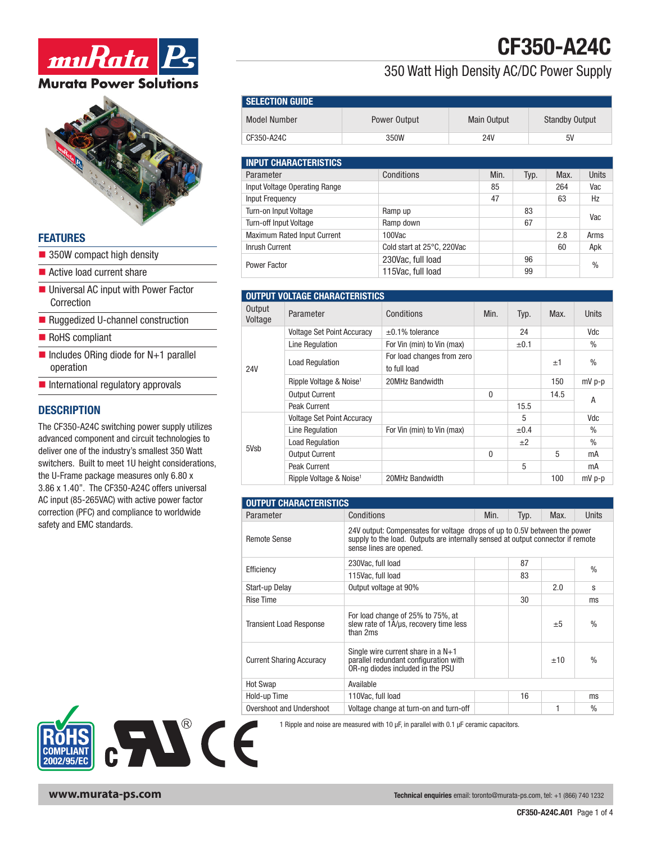



#### **FEATURES**

- $\blacksquare$  350W compact high density
- $\blacksquare$  Active load current share
- Universal AC input with Power Factor Correction
- Ruggedized U-channel construction
- RoHS compliant
- $\blacksquare$  Includes ORing diode for N+1 parallel operation
- $\blacksquare$  International regulatory approvals

#### **DESCRIPTION**

The CF350-A24C switching power supply utilizes advanced component and circuit technologies to deliver one of the industry's smallest 350 Watt switchers. Built to meet 1U height considerations, the U-Frame package measures only 6.80 x 3.86 x 1.40". The CF350-A24C offers universal AC input (85-265VAC) with active power factor correction (PFC) and compliance to worldwide safety and EMC standards.



Model Number **Number** Power Output Main Output Standby Output

SELECTION GUIDE

CF350-A24C

350 Watt High Density AC/DC Power Supply

| <b>INPUT CHARACTERISTICS</b>  |                            |      |      |      |               |  |
|-------------------------------|----------------------------|------|------|------|---------------|--|
| Parameter                     | Conditions                 | Min. | Typ. | Max. | Units         |  |
| Input Voltage Operating Range |                            | 85   |      | 264  | Vac           |  |
| <b>Input Frequency</b>        |                            | 47   |      | 63   | Hz            |  |
| Turn-on Input Voltage         | Ramp up                    |      | 83   |      | Vac           |  |
| Turn-off Input Voltage        | Ramp down                  |      | 67   |      |               |  |
| Maximum Rated Input Current   | 100Vac                     |      |      | 2.8  | Arms          |  |
| Inrush Current                | Cold start at 25°C, 220Vac |      |      | 60   | Apk           |  |
| Power Factor                  | 230Vac, full load          |      | 96   |      |               |  |
|                               | 115Vac, full load          |      | 99   |      | $\frac{0}{0}$ |  |

|                   | <b>OUTPUT VOLTAGE CHARACTERISTICS</b> |                                            |      |           |      |               |
|-------------------|---------------------------------------|--------------------------------------------|------|-----------|------|---------------|
| Output<br>Voltage | Parameter                             | Conditions                                 | Min. | Typ.      | Max. | Units         |
|                   | <b>Voltage Set Point Accuracy</b>     | $\pm 0.1\%$ tolerance                      |      | 24        |      | Vdc           |
|                   | Line Regulation                       | For Vin (min) to Vin (max)                 |      | $\pm 0.1$ |      | $\%$          |
| <b>24V</b>        | <b>Load Regulation</b>                | For load changes from zero<br>to full load |      |           | ±1   | $\frac{0}{0}$ |
|                   | Ripple Voltage & Noise <sup>1</sup>   | 20MHz Bandwidth                            |      |           | 150  | $mV p-p$      |
|                   | <b>Output Current</b>                 |                                            | 0    |           | 14.5 | A             |
|                   | Peak Current                          |                                            |      | 15.5      |      |               |
|                   | <b>Voltage Set Point Accuracy</b>     |                                            |      | 5         |      | Vdc           |
|                   | Line Regulation                       | For Vin (min) to Vin (max)                 |      | ±0.4      |      | $\%$          |
| 5Vsb              | <b>Load Requlation</b>                |                                            |      | ±2        |      | $\%$          |
|                   | <b>Output Current</b>                 |                                            | 0    |           | 5    | mA            |
|                   | Peak Current                          |                                            |      | 5         |      | mA            |
|                   | Ripple Voltage & Noise <sup>1</sup>   | 20MHz Bandwidth                            |      |           | 100  | $mV$ p-p      |

| <b>OUTPUT CHARACTERISTICS</b>   |                                                                                                                                                                                         |      |      |      |               |
|---------------------------------|-----------------------------------------------------------------------------------------------------------------------------------------------------------------------------------------|------|------|------|---------------|
| Parameter                       | Conditions                                                                                                                                                                              | Min. | Typ. | Max. | Units         |
| Remote Sense                    | 24V output: Compensates for voltage drops of up to 0.5V between the power<br>supply to the load. Outputs are internally sensed at output connector if remote<br>sense lines are opened. |      |      |      |               |
| Efficiency                      | 230Vac, full load                                                                                                                                                                       |      | 87   |      | $\frac{0}{n}$ |
|                                 | 115Vac, full load                                                                                                                                                                       |      | 83   |      |               |
| Start-up Delay                  | Output voltage at 90%                                                                                                                                                                   |      |      | 2.0  | S             |
| <b>Rise Time</b>                |                                                                                                                                                                                         |      | 30   |      | ms            |
| <b>Transient Load Response</b>  | For load change of 25% to 75%, at<br>slew rate of 1A/us, recovery time less<br>than 2ms                                                                                                 |      |      | ±5   | $\frac{0}{n}$ |
| <b>Current Sharing Accuracy</b> | Single wire current share in a $N+1$<br>parallel redundant configuration with<br>OR-ng diodes included in the PSU                                                                       |      |      | ±10  | $\frac{0}{n}$ |
| <b>Hot Swap</b>                 | Available                                                                                                                                                                               |      |      |      |               |
| Hold-up Time                    | 110Vac, full load                                                                                                                                                                       |      | 16   |      | ms            |
| Overshoot and Undershoot        | Voltage change at turn-on and turn-off                                                                                                                                                  |      |      | 1    | $\frac{0}{n}$ |

1 Ripple and noise are measured with 10 µF, in parallel with 0.1 µF ceramic capacitors.



**www.murata-ps.com** Technical enquiries email: toronto@murata-ps.com, tel: +1 (866) 740 1232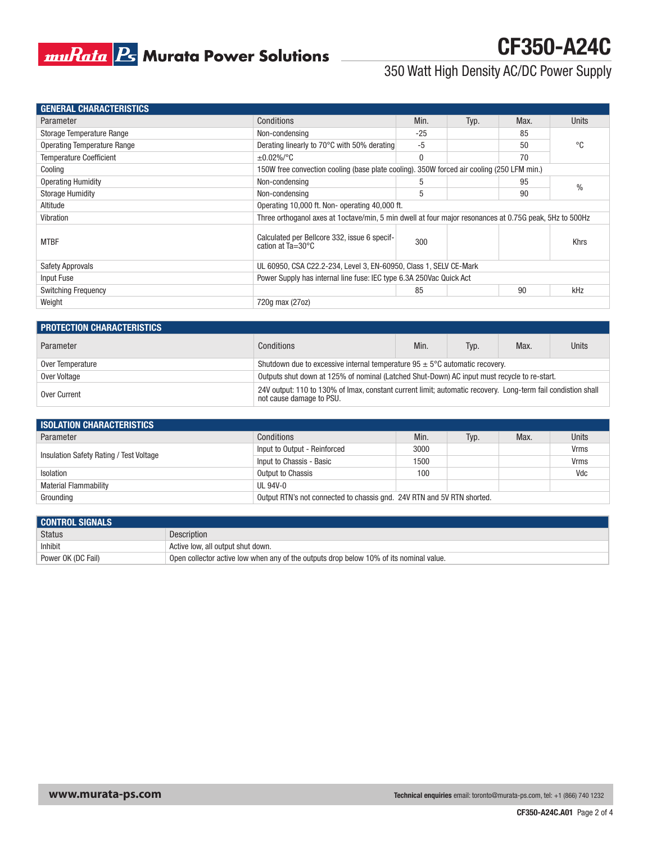

# CF350-A24C

#### 350 Watt High Density AC/DC Power Supply

| <b>GENERAL CHARACTERISTICS</b> |                                                                                                         |       |      |      |               |
|--------------------------------|---------------------------------------------------------------------------------------------------------|-------|------|------|---------------|
| Parameter                      | Conditions                                                                                              | Min.  | Typ. | Max. | Units         |
| Storage Temperature Range      | Non-condensing                                                                                          | $-25$ |      | 85   |               |
| Operating Temperature Range    | Derating linearly to 70°C with 50% derating                                                             | $-5$  |      | 50   | °C            |
| <b>Temperature Coefficient</b> | $\pm 0.02\%$ /°C                                                                                        | 0     |      | 70   |               |
| Cooling                        | 150W free convection cooling (base plate cooling). 350W forced air cooling (250 LFM min.)               |       |      |      |               |
| <b>Operating Humidity</b>      | Non-condensing                                                                                          | 5     |      | 95   | $\frac{0}{0}$ |
| <b>Storage Humidity</b>        | Non-condensing                                                                                          | 5     |      | 90   |               |
| Altitude                       | Operating 10,000 ft. Non- operating 40,000 ft.                                                          |       |      |      |               |
| Vibration                      | Three orthoganol axes at 1 octave/min, 5 min dwell at four major resonances at 0.75G peak, 5Hz to 500Hz |       |      |      |               |
| <b>MTBF</b>                    | Calculated per Bellcore 332, issue 6 specif-<br>cation at $Ta = 30^{\circ}C$                            | 300   |      |      | <b>Khrs</b>   |
| <b>Safety Approvals</b>        | UL 60950, CSA C22.2-234, Level 3, EN-60950, Class 1, SELV CE-Mark                                       |       |      |      |               |
| Input Fuse                     | Power Supply has internal line fuse: IEC type 6.3A 250Vac Quick Act                                     |       |      |      |               |
| <b>Switching Frequency</b>     |                                                                                                         | 85    |      | 90   | kHz           |
| Weight                         | 720q max (27oz)                                                                                         |       |      |      |               |

| <b>PROTECTION CHARACTERISTICS</b> |                                                                                                                                          |      |      |      |       |
|-----------------------------------|------------------------------------------------------------------------------------------------------------------------------------------|------|------|------|-------|
| Parameter                         | Conditions                                                                                                                               | Min. | Tvp. | Max. | Units |
| Over Temperature                  | Shutdown due to excessive internal temperature $95 \pm 5^{\circ}$ C automatic recovery.                                                  |      |      |      |       |
| Over Voltage                      | Outputs shut down at 125% of nominal (Latched Shut-Down) AC input must recycle to re-start.                                              |      |      |      |       |
| Over Current                      | 24V output: 110 to 130% of Imax, constant current limit; automatic recovery. Long-term fail condistion shall<br>not cause damage to PSU. |      |      |      |       |

| <b>ISOLATION CHARACTERISTICS</b>        |                                                                        |      |      |      |       |
|-----------------------------------------|------------------------------------------------------------------------|------|------|------|-------|
| Parameter                               | Conditions                                                             | Min. | Typ. | Max. | Units |
|                                         | Input to Output - Reinforced                                           | 3000 |      |      | Vrms  |
| Insulation Safety Rating / Test Voltage | Input to Chassis - Basic                                               | 1500 |      |      | Vrms  |
| Isolation                               | Output to Chassis                                                      | 100  |      |      | Vdc   |
| <b>Material Flammability</b>            | UL 94V-0                                                               |      |      |      |       |
| Grounding                               | Output RTN's not connected to chassis and. 24V RTN and 5V RTN shorted. |      |      |      |       |

| <b>CONTROL SIGNALS</b> |                                                                                        |
|------------------------|----------------------------------------------------------------------------------------|
| Status                 | <b>Description</b>                                                                     |
| Inhibit                | Active low, all output shut down.                                                      |
| Power OK (DC Fail)     | Open collector active low when any of the outputs drop below 10% of its nominal value. |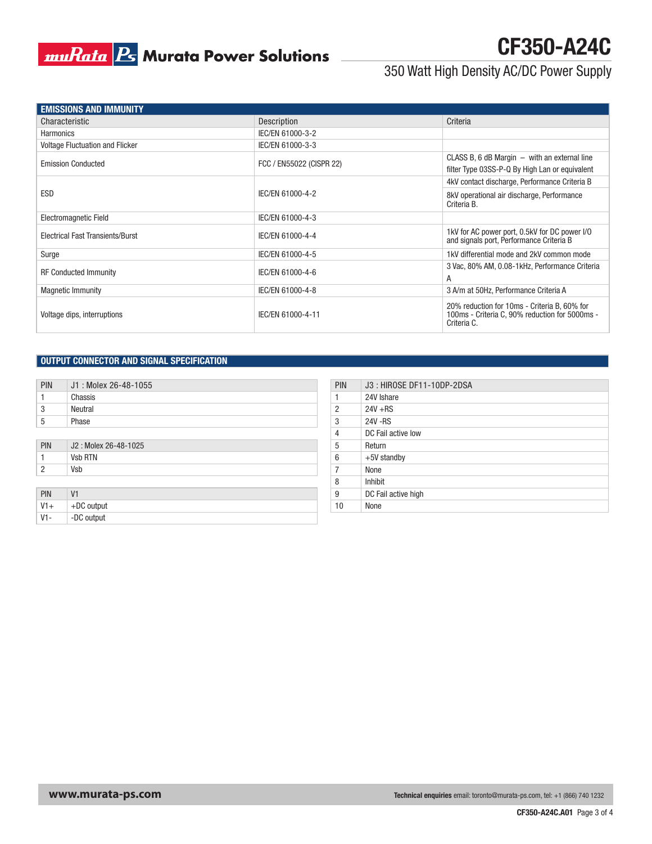### **muRata B** Murata Power Solutions

### 350 Watt High Density AC/DC Power Supply

CF350-A24C

| <b>EMISSIONS AND IMMUNITY</b>           |                          |                                                                                                               |
|-----------------------------------------|--------------------------|---------------------------------------------------------------------------------------------------------------|
| Characteristic                          | Description              | Criteria                                                                                                      |
| <b>Harmonics</b>                        | IEC/EN 61000-3-2         |                                                                                                               |
| Voltage Fluctuation and Flicker         | IEC/EN 61000-3-3         |                                                                                                               |
| <b>Emission Conducted</b>               | FCC / EN55022 (CISPR 22) | CLASS B, 6 dB Margin $-$ with an external line<br>filter Type 03SS-P-Q By High Lan or equivalent              |
|                                         |                          | 4kV contact discharge, Performance Criteria B                                                                 |
| <b>ESD</b>                              | IEC/EN 61000-4-2         | 8kV operational air discharge, Performance<br>Criteria B.                                                     |
| Electromagnetic Field                   | IEC/EN 61000-4-3         |                                                                                                               |
| <b>Electrical Fast Transients/Burst</b> | IEC/EN 61000-4-4         | 1kV for AC power port, 0.5kV for DC power I/O<br>and signals port, Performance Criteria B                     |
| Surge                                   | IEC/EN 61000-4-5         | 1kV differential mode and 2kV common mode                                                                     |
| <b>RF Conducted Immunity</b>            | IEC/EN 61000-4-6         | 3 Vac, 80% AM, 0.08-1kHz, Performance Criteria<br>A                                                           |
| <b>Magnetic Immunity</b>                | IEC/EN 61000-4-8         | 3 A/m at 50Hz, Performance Criteria A                                                                         |
| Voltage dips, interruptions             | IEC/EN 61000-4-11        | 20% reduction for 10ms - Criteria B, 60% for<br>100ms - Criteria C, 90% reduction for 5000ms -<br>Criteria C. |

#### OUTPUT CONNECTOR AND SIGNAL SPECIFICATION

| PIN | J1: Molex 26-48-1055 | PIN        | J3: HIROSE DF11-10DP-2DSA |
|-----|----------------------|------------|---------------------------|
|     | Chassis              |            | 24V Ishare                |
| 3   | Neutral              |            | $24V + RS$                |
| 5   | Phase                | $\sqrt{2}$ | 24V-RS                    |
|     |                      |            | DC Eail active low        |

| PIN | J2: Molex 26-48-1025 | J           | Return      |
|-----|----------------------|-------------|-------------|
|     | <b>Vsb RTN</b>       | $\sim$<br>U | +5V standby |
| -   | Vsb                  |             | None        |

| PIN   | V <sub>1</sub> |  | DC Fail active high |
|-------|----------------|--|---------------------|
| $V1+$ | $+DC$ output   |  | None                |
| V1-   | -DC output     |  |                     |

| PIN | J3: HIROSE DF11-10DP-2DSA |
|-----|---------------------------|
|     | 24V Ishare                |
| 2   | $24V + RS$                |
| 3   | 24V - RS                  |
| 4   | DC Fail active low        |
| 5   | Return                    |
| 6   | $+5V$ standby             |
| 7   | None                      |
| 8   | Inhibit                   |
| 9   | DC Fail active high       |
| 10  | None                      |